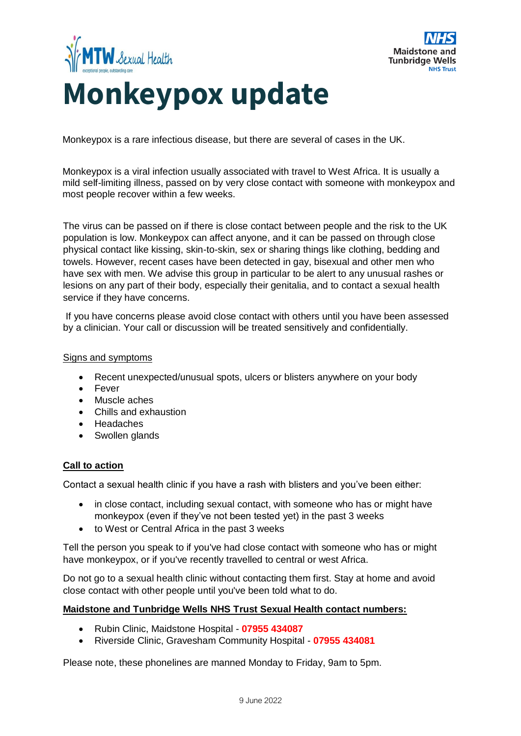



## **Monkeypox update**

Monkeypox is a rare infectious disease, but there are several of cases in the UK.

Monkeypox is a viral infection usually associated with travel to West Africa. It is usually a mild self-limiting illness, passed on by very close contact with someone with monkeypox and most people recover within a few weeks.

The virus can be passed on if there is close contact between people and the risk to the UK population is low. Monkeypox can affect anyone, and it can be passed on through close physical contact like kissing, skin-to-skin, sex or sharing things like clothing, bedding and towels. However, recent cases have been detected in gay, bisexual and other men who have sex with men. We advise this group in particular to be alert to any unusual rashes or lesions on any part of their body, especially their genitalia, and to contact a sexual health service if they have concerns.

If you have concerns please avoid close contact with others until you have been assessed by a clinician. Your call or discussion will be treated sensitively and confidentially.

## Signs and symptoms

- Recent unexpected/unusual spots, ulcers or blisters anywhere on your body
- Fever
- Muscle aches
- Chills and exhaustion
- Headaches
- Swollen glands

## **Call to action**

Contact a sexual health clinic if you have a rash with blisters and you've been either:

- in close contact, including sexual contact, with someone who has or might have monkeypox (even if they've not been tested yet) in the past 3 weeks
- to West or Central Africa in the past 3 weeks

Tell the person you speak to if you've had close contact with someone who has or might have monkeypox, or if you've recently travelled to central or west Africa.

Do not go to a sexual health clinic without contacting them first. Stay at home and avoid close contact with other people until you've been told what to do.

## **Maidstone and Tunbridge Wells NHS Trust Sexual Health contact numbers:**

- Rubin Clinic, Maidstone Hospital **07955 434087**
- Riverside Clinic, Gravesham Community Hospital **07955 434081**

Please note, these phonelines are manned Monday to Friday, 9am to 5pm.